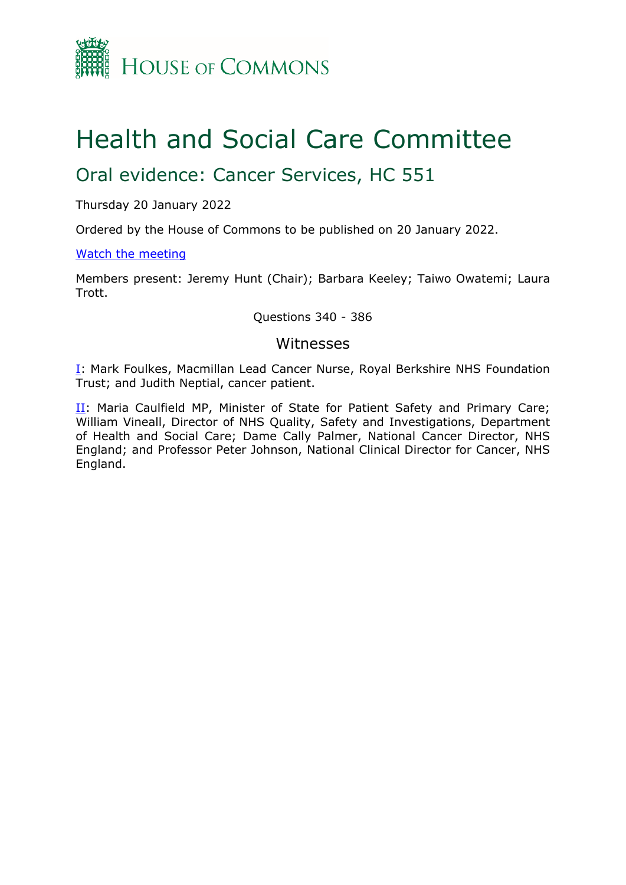

# Health and Social Care Committee

# Oral evidence: Cancer Services, HC 551

Thursday 20 January 2022

Ordered by the House of Commons to be published on 20 January 2022.

#### [Watch](https://parliamentlive.tv/Event/Index/831c4393-0b05-40fc-9089-87199d8ed089) [the](https://parliamentlive.tv/Event/Index/831c4393-0b05-40fc-9089-87199d8ed089) [meeting](https://parliamentlive.tv/Event/Index/831c4393-0b05-40fc-9089-87199d8ed089)

Members present: Jeremy Hunt (Chair); Barbara Keeley; Taiwo Owatemi; Laura Trott.

#### Questions 340 - 386

#### Witnesses

[I:](#page-1-0) Mark Foulkes, Macmillan Lead Cancer Nurse, Royal Berkshire NHS Foundation Trust; and Judith Neptial, cancer patient.

[II](#page-7-0): Maria Caulfield MP, Minister of State for Patient Safety and Primary Care; William Vineall, Director of NHS Quality, Safety and Investigations, Department of Health and Social Care; Dame Cally Palmer, National Cancer Director, NHS England; and Professor Peter Johnson, National Clinical Director for Cancer, NHS England.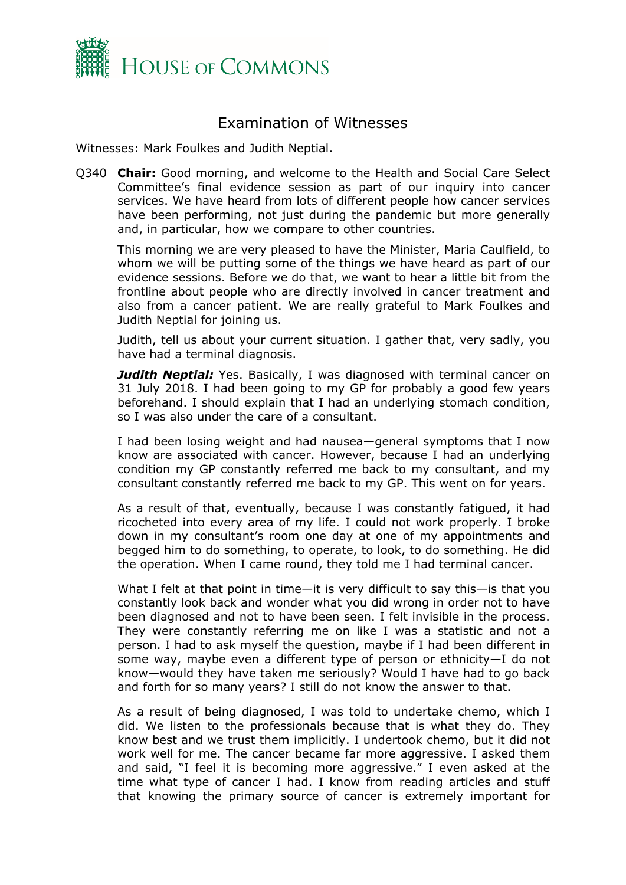

## <span id="page-1-0"></span>Examination of Witnesses

Witnesses: Mark Foulkes and Judith Neptial.

Q340 **Chair:** Good morning, and welcome to the Health and Social Care Select Committee's final evidence session as part of our inquiry into cancer services. We have heard from lots of different people how cancer services have been performing, not just during the pandemic but more generally and, in particular, how we compare to other countries.

This morning we are very pleased to have the Minister, Maria Caulfield, to whom we will be putting some of the things we have heard as part of our evidence sessions. Before we do that, we want to hear a little bit from the frontline about people who are directly involved in cancer treatment and also from a cancer patient. We are really grateful to Mark Foulkes and Judith Neptial for joining us.

Judith, tell us about your current situation. I gather that, very sadly, you have had a terminal diagnosis.

**Judith Neptial:** Yes. Basically, I was diagnosed with terminal cancer on 31 July 2018. I had been going to my GP for probably a good few years beforehand. I should explain that I had an underlying stomach condition, so I was also under the care of a consultant.

I had been losing weight and had nausea—general symptoms that I now know are associated with cancer. However, because I had an underlying condition my GP constantly referred me back to my consultant, and my consultant constantly referred me back to my GP. This went on for years.

As a result of that, eventually, because I was constantly fatigued, it had ricocheted into every area of my life. I could not work properly. I broke down in my consultant's room one day at one of my appointments and begged him to do something, to operate, to look, to do something. He did the operation. When I came round, they told me I had terminal cancer.

What I felt at that point in time—it is very difficult to say this—is that you constantly look back and wonder what you did wrong in order not to have been diagnosed and not to have been seen. I felt invisible in the process. They were constantly referring me on like I was a statistic and not a person. I had to ask myself the question, maybe if I had been different in some way, maybe even a different type of person or ethnicity—I do not know—would they have taken me seriously? Would I have had to go back and forth for so many years? I still do not know the answer to that.

As a result of being diagnosed, I was told to undertake chemo, which I did. We listen to the professionals because that is what they do. They know best and we trust them implicitly. I undertook chemo, but it did not work well for me. The cancer became far more aggressive. I asked them and said, "I feel it is becoming more aggressive." I even asked at the time what type of cancer I had. I know from reading articles and stuff that knowing the primary source of cancer is extremely important for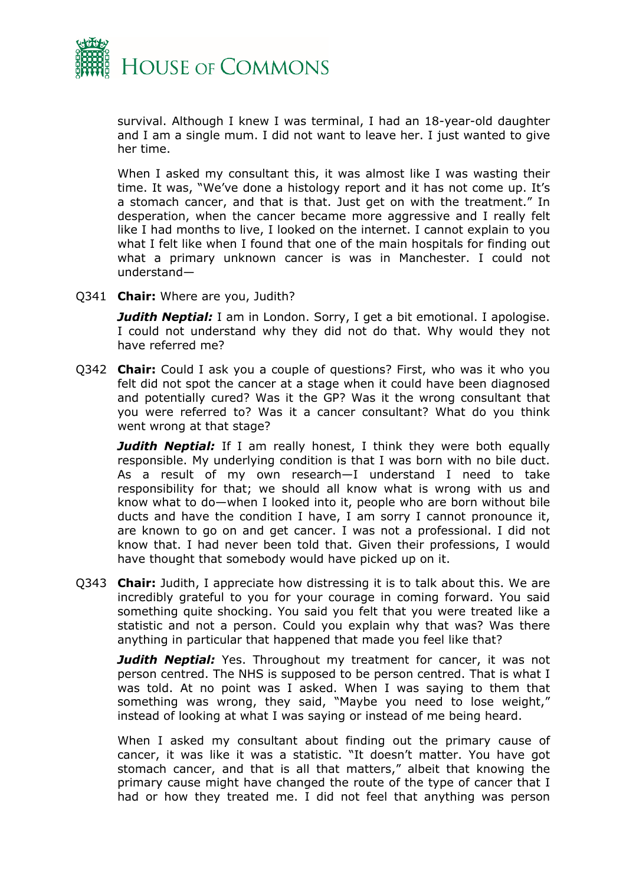

survival. Although I knew I was terminal, I had an 18-year-old daughter and I am a single mum. I did not want to leave her. I just wanted to give her time.

When I asked my consultant this, it was almost like I was wasting their time. It was, "We've done a histology report and it has not come up. It's a stomach cancer, and that is that. Just get on with the treatment." In desperation, when the cancer became more aggressive and I really felt like I had months to live, I looked on the internet. I cannot explain to you what I felt like when I found that one of the main hospitals for finding out what a primary unknown cancer is was in Manchester. I could not understand—

Q341 **Chair:** Where are you, Judith?

*Judith Neptial:* I am in London. Sorry, I get a bit emotional. I apologise. I could not understand why they did not do that. Why would they not have referred me?

Q342 **Chair:** Could I ask you a couple of questions? First, who was it who you felt did not spot the cancer at a stage when it could have been diagnosed and potentially cured? Was it the GP? Was it the wrong consultant that you were referred to? Was it a cancer consultant? What do you think went wrong at that stage?

*Judith Neptial:* If I am really honest, I think they were both equally responsible. My underlying condition is that I was born with no bile duct. As a result of my own research—I understand I need to take responsibility for that; we should all know what is wrong with us and know what to do—when I looked into it, people who are born without bile ducts and have the condition I have, I am sorry I cannot pronounce it, are known to go on and get cancer. I was not a professional. I did not know that. I had never been told that. Given their professions, I would have thought that somebody would have picked up on it.

Q343 **Chair:** Judith, I appreciate how distressing it is to talk about this. We are incredibly grateful to you for your courage in coming forward. You said something quite shocking. You said you felt that you were treated like a statistic and not a person. Could you explain why that was? Was there anything in particular that happened that made you feel like that?

*Judith Neptial:* Yes. Throughout my treatment for cancer, it was not person centred. The NHS is supposed to be person centred. That is what I was told. At no point was I asked. When I was saying to them that something was wrong, they said, "Maybe you need to lose weight," instead of looking at what I was saying or instead of me being heard.

When I asked my consultant about finding out the primary cause of cancer, it was like it was a statistic. "It doesn't matter. You have got stomach cancer, and that is all that matters," albeit that knowing the primary cause might have changed the route of the type of cancer that I had or how they treated me. I did not feel that anything was person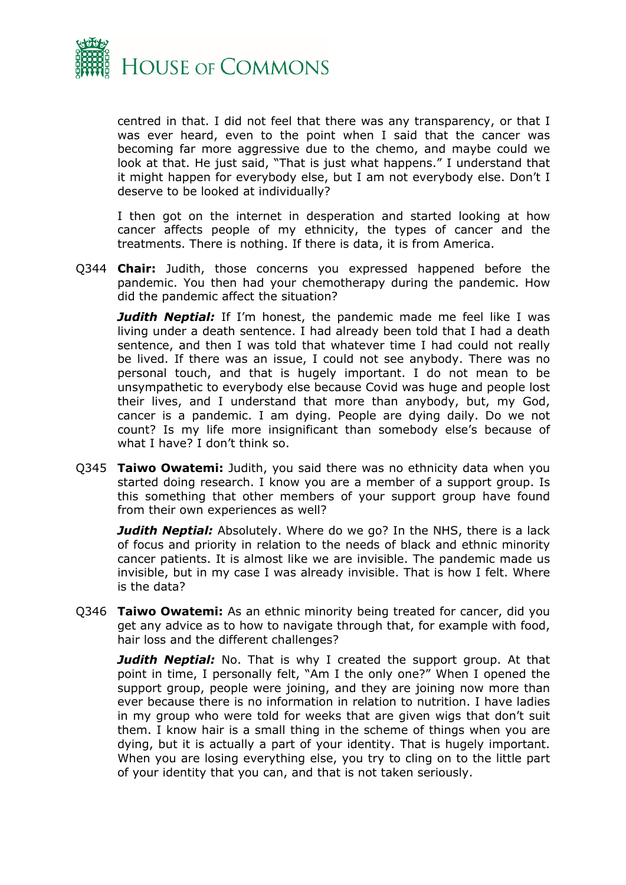

centred in that. I did not feel that there was any transparency, or that I was ever heard, even to the point when I said that the cancer was becoming far more aggressive due to the chemo, and maybe could we look at that. He just said, "That is just what happens." I understand that it might happen for everybody else, but I am not everybody else. Don't I deserve to be looked at individually?

I then got on the internet in desperation and started looking at how cancer affects people of my ethnicity, the types of cancer and the treatments. There is nothing. If there is data, it is from America.

Q344 **Chair:** Judith, those concerns you expressed happened before the pandemic. You then had your chemotherapy during the pandemic. How did the pandemic affect the situation?

*Judith Neptial:* If I'm honest, the pandemic made me feel like I was living under a death sentence. I had already been told that I had a death sentence, and then I was told that whatever time I had could not really be lived. If there was an issue, I could not see anybody. There was no personal touch, and that is hugely important. I do not mean to be unsympathetic to everybody else because Covid was huge and people lost their lives, and I understand that more than anybody, but, my God, cancer is a pandemic. I am dying. People are dying daily. Do we not count? Is my life more insignificant than somebody else's because of what I have? I don't think so.

Q345 **Taiwo Owatemi:** Judith, you said there was no ethnicity data when you started doing research. I know you are a member of a support group. Is this something that other members of your support group have found from their own experiences as well?

*Judith Neptial:* Absolutely. Where do we go? In the NHS, there is a lack of focus and priority in relation to the needs of black and ethnic minority cancer patients. It is almost like we are invisible. The pandemic made us invisible, but in my case I was already invisible. That is how I felt. Where is the data?

Q346 **Taiwo Owatemi:** As an ethnic minority being treated for cancer, did you get any advice as to how to navigate through that, for example with food, hair loss and the different challenges?

*Judith Neptial:* No. That is why I created the support group. At that point in time, I personally felt, "Am I the only one?" When I opened the support group, people were joining, and they are joining now more than ever because there is no information in relation to nutrition. I have ladies in my group who were told for weeks that are given wigs that don't suit them. I know hair is a small thing in the scheme of things when you are dying, but it is actually a part of your identity. That is hugely important. When you are losing everything else, you try to cling on to the little part of your identity that you can, and that is not taken seriously.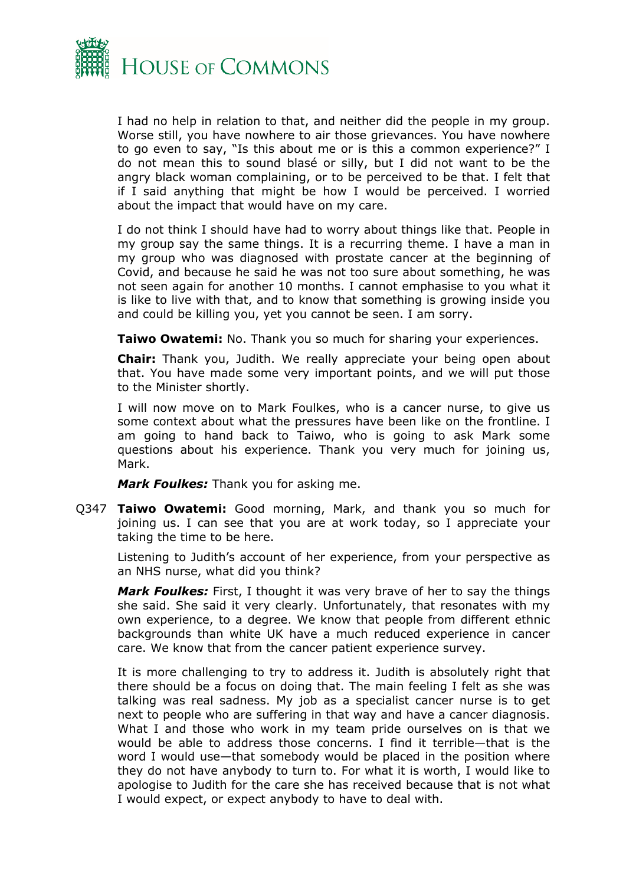

I had no help in relation to that, and neither did the people in my group. Worse still, you have nowhere to air those grievances. You have nowhere to go even to say, "Is this about me or is this a common experience?" I do not mean this to sound blasé or silly, but I did not want to be the angry black woman complaining, or to be perceived to be that. I felt that if I said anything that might be how I would be perceived. I worried about the impact that would have on my care.

I do not think I should have had to worry about things like that. People in my group say the same things. It is a recurring theme. I have a man in my group who was diagnosed with prostate cancer at the beginning of Covid, and because he said he was not too sure about something, he was not seen again for another 10 months. I cannot emphasise to you what it is like to live with that, and to know that something is growing inside you and could be killing you, yet you cannot be seen. I am sorry.

**Taiwo Owatemi:** No. Thank you so much for sharing your experiences.

**Chair:** Thank you, Judith. We really appreciate your being open about that. You have made some very important points, and we will put those to the Minister shortly.

I will now move on to Mark Foulkes, who is a cancer nurse, to give us some context about what the pressures have been like on the frontline. I am going to hand back to Taiwo, who is going to ask Mark some questions about his experience. Thank you very much for joining us, Mark.

*Mark Foulkes:* Thank you for asking me.

Q347 **Taiwo Owatemi:** Good morning, Mark, and thank you so much for joining us. I can see that you are at work today, so I appreciate your taking the time to be here.

Listening to Judith's account of her experience, from your perspective as an NHS nurse, what did you think?

*Mark Foulkes:* First, I thought it was very brave of her to say the things she said. She said it very clearly. Unfortunately, that resonates with my own experience, to a degree. We know that people from different ethnic backgrounds than white UK have a much reduced experience in cancer care. We know that from the cancer patient experience survey.

It is more challenging to try to address it. Judith is absolutely right that there should be a focus on doing that. The main feeling I felt as she was talking was real sadness. My job as a specialist cancer nurse is to get next to people who are suffering in that way and have a cancer diagnosis. What I and those who work in my team pride ourselves on is that we would be able to address those concerns. I find it terrible—that is the word I would use—that somebody would be placed in the position where they do not have anybody to turn to. For what it is worth, I would like to apologise to Judith for the care she has received because that is not what I would expect, or expect anybody to have to deal with.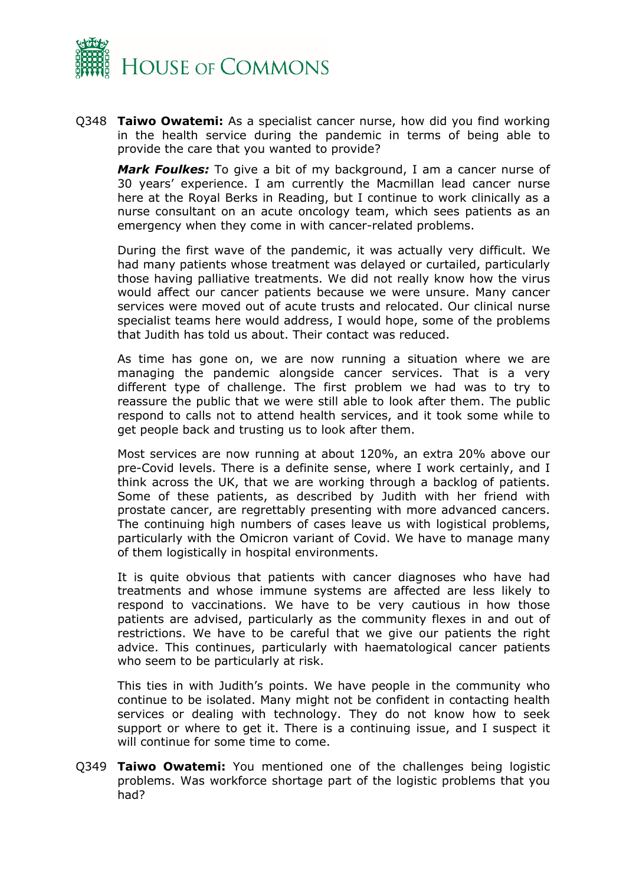

Q348 **Taiwo Owatemi:** As a specialist cancer nurse, how did you find working in the health service during the pandemic in terms of being able to provide the care that you wanted to provide?

*Mark Foulkes:* To give a bit of my background, I am a cancer nurse of 30 years' experience. I am currently the Macmillan lead cancer nurse here at the Royal Berks in Reading, but I continue to work clinically as a nurse consultant on an acute oncology team, which sees patients as an emergency when they come in with cancer-related problems.

During the first wave of the pandemic, it was actually very difficult. We had many patients whose treatment was delayed or curtailed, particularly those having palliative treatments. We did not really know how the virus would affect our cancer patients because we were unsure. Many cancer services were moved out of acute trusts and relocated. Our clinical nurse specialist teams here would address, I would hope, some of the problems that Judith has told us about. Their contact was reduced.

As time has gone on, we are now running a situation where we are managing the pandemic alongside cancer services. That is a very different type of challenge. The first problem we had was to try to reassure the public that we were still able to look after them. The public respond to calls not to attend health services, and it took some while to get people back and trusting us to look after them.

Most services are now running at about 120%, an extra 20% above our pre-Covid levels. There is a definite sense, where I work certainly, and I think across the UK, that we are working through a backlog of patients. Some of these patients, as described by Judith with her friend with prostate cancer, are regrettably presenting with more advanced cancers. The continuing high numbers of cases leave us with logistical problems, particularly with the Omicron variant of Covid. We have to manage many of them logistically in hospital environments.

It is quite obvious that patients with cancer diagnoses who have had treatments and whose immune systems are affected are less likely to respond to vaccinations. We have to be very cautious in how those patients are advised, particularly as the community flexes in and out of restrictions. We have to be careful that we give our patients the right advice. This continues, particularly with haematological cancer patients who seem to be particularly at risk.

This ties in with Judith's points. We have people in the community who continue to be isolated. Many might not be confident in contacting health services or dealing with technology. They do not know how to seek support or where to get it. There is a continuing issue, and I suspect it will continue for some time to come.

Q349 **Taiwo Owatemi:** You mentioned one of the challenges being logistic problems. Was workforce shortage part of the logistic problems that you had?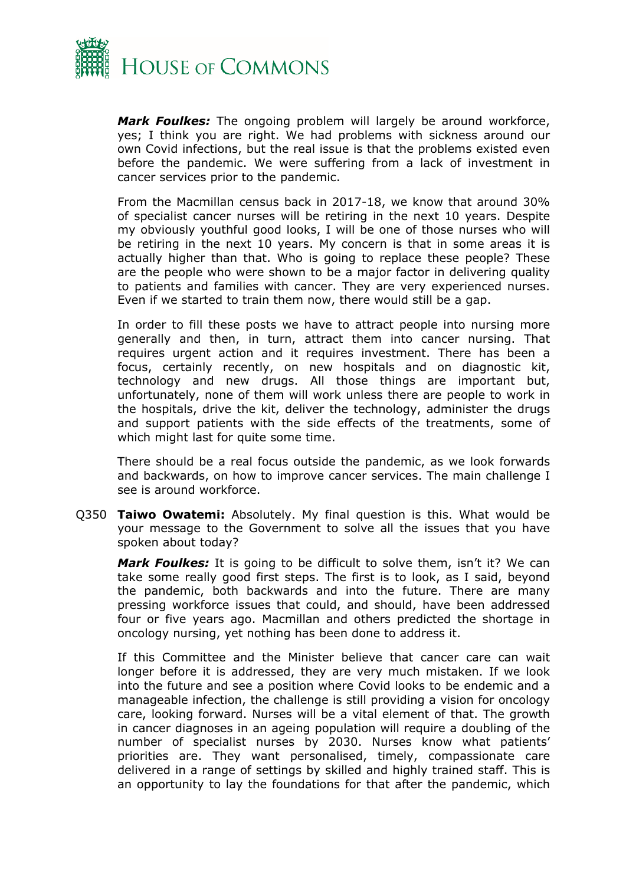

*Mark Foulkes:* The ongoing problem will largely be around workforce, yes; I think you are right. We had problems with sickness around our own Covid infections, but the real issue is that the problems existed even before the pandemic. We were suffering from a lack of investment in cancer services prior to the pandemic.

From the Macmillan census back in 2017-18, we know that around 30% of specialist cancer nurses will be retiring in the next 10 years. Despite my obviously youthful good looks, I will be one of those nurses who will be retiring in the next 10 years. My concern is that in some areas it is actually higher than that. Who is going to replace these people? These are the people who were shown to be a major factor in delivering quality to patients and families with cancer. They are very experienced nurses. Even if we started to train them now, there would still be a gap.

In order to fill these posts we have to attract people into nursing more generally and then, in turn, attract them into cancer nursing. That requires urgent action and it requires investment. There has been a focus, certainly recently, on new hospitals and on diagnostic kit, technology and new drugs. All those things are important but, unfortunately, none of them will work unless there are people to work in the hospitals, drive the kit, deliver the technology, administer the drugs and support patients with the side effects of the treatments, some of which might last for quite some time.

There should be a real focus outside the pandemic, as we look forwards and backwards, on how to improve cancer services. The main challenge I see is around workforce.

Q350 **Taiwo Owatemi:** Absolutely. My final question is this. What would be your message to the Government to solve all the issues that you have spoken about today?

*Mark Foulkes:* It is going to be difficult to solve them, isn't it? We can take some really good first steps. The first is to look, as I said, beyond the pandemic, both backwards and into the future. There are many pressing workforce issues that could, and should, have been addressed four or five years ago. Macmillan and others predicted the shortage in oncology nursing, yet nothing has been done to address it.

If this Committee and the Minister believe that cancer care can wait longer before it is addressed, they are very much mistaken. If we look into the future and see a position where Covid looks to be endemic and a manageable infection, the challenge is still providing a vision for oncology care, looking forward. Nurses will be a vital element of that. The growth in cancer diagnoses in an ageing population will require a doubling of the number of specialist nurses by 2030. Nurses know what patients' priorities are. They want personalised, timely, compassionate care delivered in a range of settings by skilled and highly trained staff. This is an opportunity to lay the foundations for that after the pandemic, which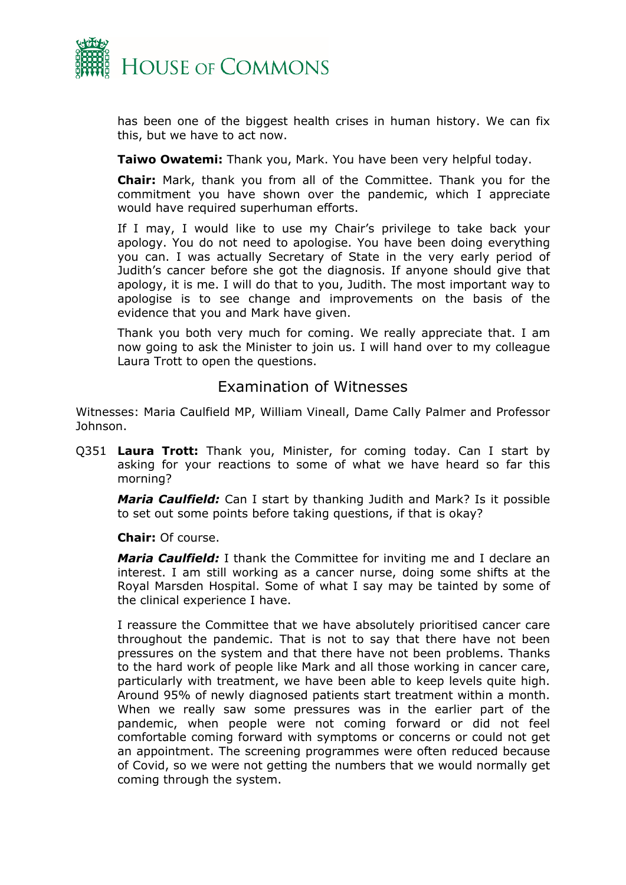

has been one of the biggest health crises in human history. We can fix this, but we have to act now.

**Taiwo Owatemi:** Thank you, Mark. You have been very helpful today.

**Chair:** Mark, thank you from all of the Committee. Thank you for the commitment you have shown over the pandemic, which I appreciate would have required superhuman efforts.

If I may, I would like to use my Chair's privilege to take back your apology. You do not need to apologise. You have been doing everything you can. I was actually Secretary of State in the very early period of Judith's cancer before she got the diagnosis. If anyone should give that apology, it is me. I will do that to you, Judith. The most important way to apologise is to see change and improvements on the basis of the evidence that you and Mark have given.

Thank you both very much for coming. We really appreciate that. I am now going to ask the Minister to join us. I will hand over to my colleague Laura Trott to open the questions.

### Examination of Witnesses

<span id="page-7-0"></span>Witnesses: Maria Caulfield MP, William Vineall, Dame Cally Palmer and Professor Johnson.

Q351 **Laura Trott:** Thank you, Minister, for coming today. Can I start by asking for your reactions to some of what we have heard so far this morning?

*Maria Caulfield:* Can I start by thanking Judith and Mark? Is it possible to set out some points before taking questions, if that is okay?

**Chair:** Of course.

*Maria Caulfield:* I thank the Committee for inviting me and I declare an interest. I am still working as a cancer nurse, doing some shifts at the Royal Marsden Hospital. Some of what I say may be tainted by some of the clinical experience I have.

I reassure the Committee that we have absolutely prioritised cancer care throughout the pandemic. That is not to say that there have not been pressures on the system and that there have not been problems. Thanks to the hard work of people like Mark and all those working in cancer care, particularly with treatment, we have been able to keep levels quite high. Around 95% of newly diagnosed patients start treatment within a month. When we really saw some pressures was in the earlier part of the pandemic, when people were not coming forward or did not feel comfortable coming forward with symptoms or concerns or could not get an appointment. The screening programmes were often reduced because of Covid, so we were not getting the numbers that we would normally get coming through the system.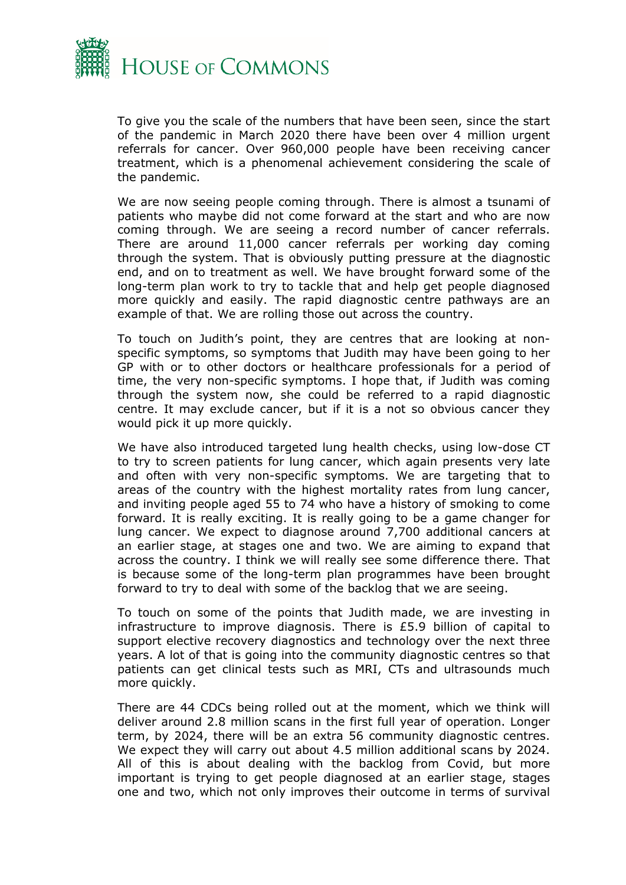

To give you the scale of the numbers that have been seen, since the start of the pandemic in March 2020 there have been over 4 million urgent referrals for cancer. Over 960,000 people have been receiving cancer treatment, which is a phenomenal achievement considering the scale of the pandemic.

We are now seeing people coming through. There is almost a tsunami of patients who maybe did not come forward at the start and who are now coming through. We are seeing a record number of cancer referrals. There are around 11,000 cancer referrals per working day coming through the system. That is obviously putting pressure at the diagnostic end, and on to treatment as well. We have brought forward some of the long-term plan work to try to tackle that and help get people diagnosed more quickly and easily. The rapid diagnostic centre pathways are an example of that. We are rolling those out across the country.

To touch on Judith's point, they are centres that are looking at nonspecific symptoms, so symptoms that Judith may have been going to her GP with or to other doctors or healthcare professionals for a period of time, the very non-specific symptoms. I hope that, if Judith was coming through the system now, she could be referred to a rapid diagnostic centre. It may exclude cancer, but if it is a not so obvious cancer they would pick it up more quickly.

We have also introduced targeted lung health checks, using low-dose CT to try to screen patients for lung cancer, which again presents very late and often with very non-specific symptoms. We are targeting that to areas of the country with the highest mortality rates from lung cancer, and inviting people aged 55 to 74 who have a history of smoking to come forward. It is really exciting. It is really going to be a game changer for lung cancer. We expect to diagnose around 7,700 additional cancers at an earlier stage, at stages one and two. We are aiming to expand that across the country. I think we will really see some difference there. That is because some of the long-term plan programmes have been brought forward to try to deal with some of the backlog that we are seeing.

To touch on some of the points that Judith made, we are investing in infrastructure to improve diagnosis. There is £5.9 billion of capital to support elective recovery diagnostics and technology over the next three years. A lot of that is going into the community diagnostic centres so that patients can get clinical tests such as MRI, CTs and ultrasounds much more quickly.

There are 44 CDCs being rolled out at the moment, which we think will deliver around 2.8 million scans in the first full year of operation. Longer term, by 2024, there will be an extra 56 community diagnostic centres. We expect they will carry out about 4.5 million additional scans by 2024. All of this is about dealing with the backlog from Covid, but more important is trying to get people diagnosed at an earlier stage, stages one and two, which not only improves their outcome in terms of survival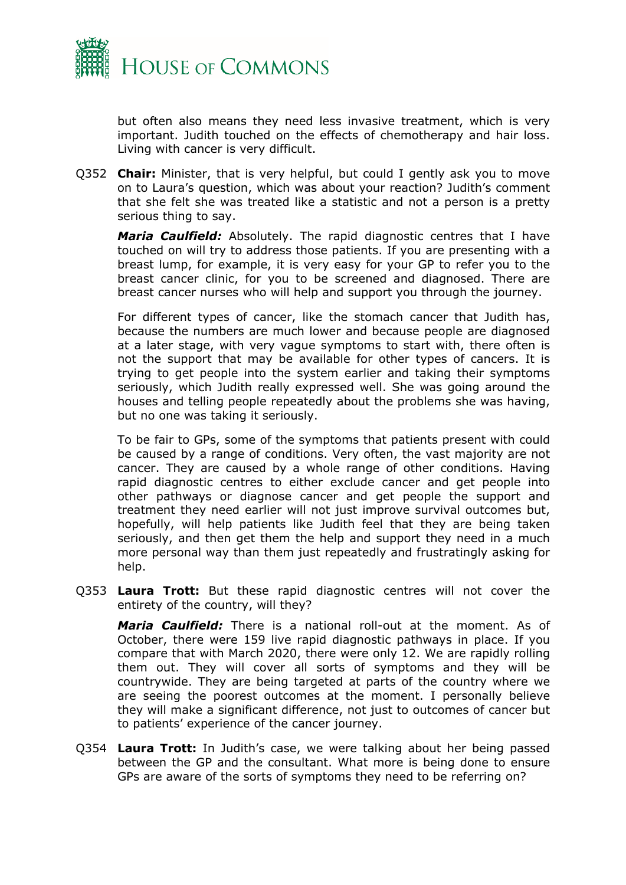

but often also means they need less invasive treatment, which is very important. Judith touched on the effects of chemotherapy and hair loss. Living with cancer is very difficult.

Q352 **Chair:** Minister, that is very helpful, but could I gently ask you to move on to Laura's question, which was about your reaction? Judith's comment that she felt she was treated like a statistic and not a person is a pretty serious thing to say.

*Maria Caulfield:* Absolutely. The rapid diagnostic centres that I have touched on will try to address those patients. If you are presenting with a breast lump, for example, it is very easy for your GP to refer you to the breast cancer clinic, for you to be screened and diagnosed. There are breast cancer nurses who will help and support you through the journey.

For different types of cancer, like the stomach cancer that Judith has, because the numbers are much lower and because people are diagnosed at a later stage, with very vague symptoms to start with, there often is not the support that may be available for other types of cancers. It is trying to get people into the system earlier and taking their symptoms seriously, which Judith really expressed well. She was going around the houses and telling people repeatedly about the problems she was having, but no one was taking it seriously.

To be fair to GPs, some of the symptoms that patients present with could be caused by a range of conditions. Very often, the vast majority are not cancer. They are caused by a whole range of other conditions. Having rapid diagnostic centres to either exclude cancer and get people into other pathways or diagnose cancer and get people the support and treatment they need earlier will not just improve survival outcomes but, hopefully, will help patients like Judith feel that they are being taken seriously, and then get them the help and support they need in a much more personal way than them just repeatedly and frustratingly asking for help.

Q353 **Laura Trott:** But these rapid diagnostic centres will not cover the entirety of the country, will they?

*Maria Caulfield:* There is a national roll-out at the moment. As of October, there were 159 live rapid diagnostic pathways in place. If you compare that with March 2020, there were only 12. We are rapidly rolling them out. They will cover all sorts of symptoms and they will be countrywide. They are being targeted at parts of the country where we are seeing the poorest outcomes at the moment. I personally believe they will make a significant difference, not just to outcomes of cancer but to patients' experience of the cancer journey.

Q354 **Laura Trott:** In Judith's case, we were talking about her being passed between the GP and the consultant. What more is being done to ensure GPs are aware of the sorts of symptoms they need to be referring on?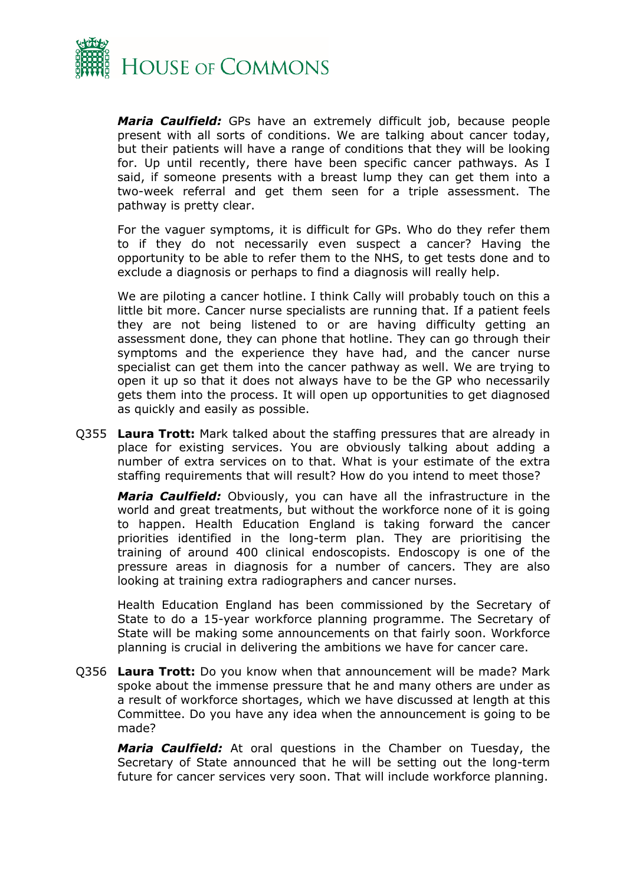

*Maria Caulfield:* GPs have an extremely difficult job, because people present with all sorts of conditions. We are talking about cancer today, but their patients will have a range of conditions that they will be looking for. Up until recently, there have been specific cancer pathways. As I said, if someone presents with a breast lump they can get them into a two-week referral and get them seen for a triple assessment. The pathway is pretty clear.

For the vaguer symptoms, it is difficult for GPs. Who do they refer them to if they do not necessarily even suspect a cancer? Having the opportunity to be able to refer them to the NHS, to get tests done and to exclude a diagnosis or perhaps to find a diagnosis will really help.

We are piloting a cancer hotline. I think Cally will probably touch on this a little bit more. Cancer nurse specialists are running that. If a patient feels they are not being listened to or are having difficulty getting an assessment done, they can phone that hotline. They can go through their symptoms and the experience they have had, and the cancer nurse specialist can get them into the cancer pathway as well. We are trying to open it up so that it does not always have to be the GP who necessarily gets them into the process. It will open up opportunities to get diagnosed as quickly and easily as possible.

Q355 **Laura Trott:** Mark talked about the staffing pressures that are already in place for existing services. You are obviously talking about adding a number of extra services on to that. What is your estimate of the extra staffing requirements that will result? How do you intend to meet those?

*Maria Caulfield:* Obviously, you can have all the infrastructure in the world and great treatments, but without the workforce none of it is going to happen. Health Education England is taking forward the cancer priorities identified in the long-term plan. They are prioritising the training of around 400 clinical endoscopists. Endoscopy is one of the pressure areas in diagnosis for a number of cancers. They are also looking at training extra radiographers and cancer nurses.

Health Education England has been commissioned by the Secretary of State to do a 15-year workforce planning programme. The Secretary of State will be making some announcements on that fairly soon. Workforce planning is crucial in delivering the ambitions we have for cancer care.

Q356 **Laura Trott:** Do you know when that announcement will be made? Mark spoke about the immense pressure that he and many others are under as a result of workforce shortages, which we have discussed at length at this Committee. Do you have any idea when the announcement is going to be made?

*Maria Caulfield:* At oral questions in the Chamber on Tuesday, the Secretary of State announced that he will be setting out the long-term future for cancer services very soon. That will include workforce planning.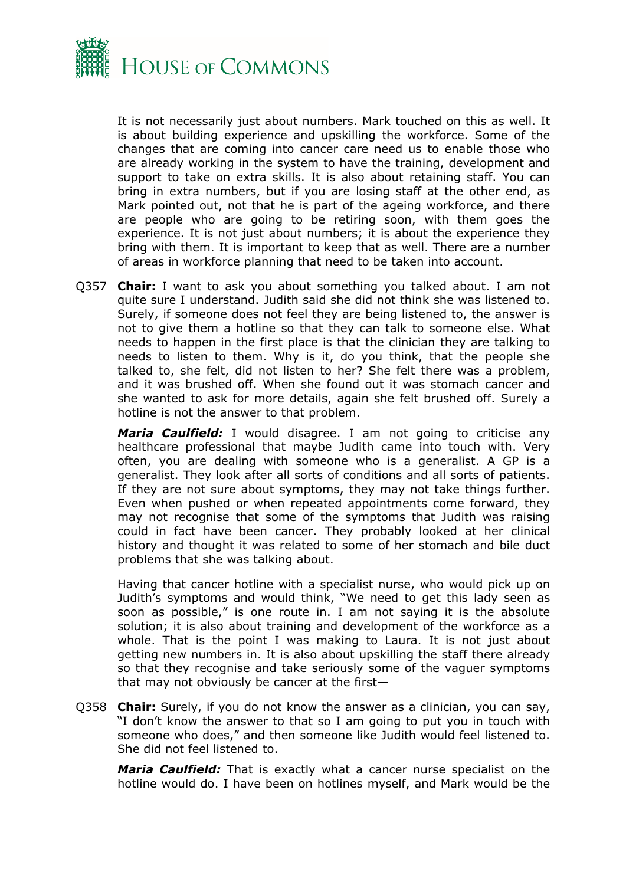

It is not necessarily just about numbers. Mark touched on this as well. It is about building experience and upskilling the workforce. Some of the changes that are coming into cancer care need us to enable those who are already working in the system to have the training, development and support to take on extra skills. It is also about retaining staff. You can bring in extra numbers, but if you are losing staff at the other end, as Mark pointed out, not that he is part of the ageing workforce, and there are people who are going to be retiring soon, with them goes the experience. It is not just about numbers; it is about the experience they bring with them. It is important to keep that as well. There are a number of areas in workforce planning that need to be taken into account.

Q357 **Chair:** I want to ask you about something you talked about. I am not quite sure I understand. Judith said she did not think she was listened to. Surely, if someone does not feel they are being listened to, the answer is not to give them a hotline so that they can talk to someone else. What needs to happen in the first place is that the clinician they are talking to needs to listen to them. Why is it, do you think, that the people she talked to, she felt, did not listen to her? She felt there was a problem, and it was brushed off. When she found out it was stomach cancer and she wanted to ask for more details, again she felt brushed off. Surely a hotline is not the answer to that problem.

*Maria Caulfield:* I would disagree. I am not going to criticise any healthcare professional that maybe Judith came into touch with. Very often, you are dealing with someone who is a generalist. A GP is a generalist. They look after all sorts of conditions and all sorts of patients. If they are not sure about symptoms, they may not take things further. Even when pushed or when repeated appointments come forward, they may not recognise that some of the symptoms that Judith was raising could in fact have been cancer. They probably looked at her clinical history and thought it was related to some of her stomach and bile duct problems that she was talking about.

Having that cancer hotline with a specialist nurse, who would pick up on Judith's symptoms and would think, "We need to get this lady seen as soon as possible," is one route in. I am not saying it is the absolute solution; it is also about training and development of the workforce as a whole. That is the point I was making to Laura. It is not just about getting new numbers in. It is also about upskilling the staff there already so that they recognise and take seriously some of the vaguer symptoms that may not obviously be cancer at the first—

Q358 **Chair:** Surely, if you do not know the answer as a clinician, you can say, "I don't know the answer to that so I am going to put you in touch with someone who does," and then someone like Judith would feel listened to. She did not feel listened to.

*Maria Caulfield:* That is exactly what a cancer nurse specialist on the hotline would do. I have been on hotlines myself, and Mark would be the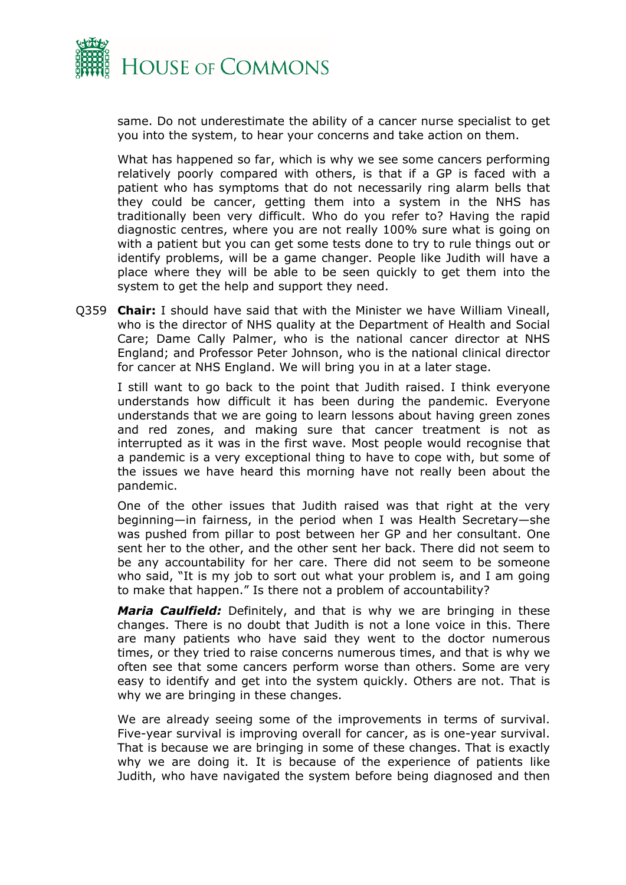

same. Do not underestimate the ability of a cancer nurse specialist to get you into the system, to hear your concerns and take action on them.

What has happened so far, which is why we see some cancers performing relatively poorly compared with others, is that if a GP is faced with a patient who has symptoms that do not necessarily ring alarm bells that they could be cancer, getting them into a system in the NHS has traditionally been very difficult. Who do you refer to? Having the rapid diagnostic centres, where you are not really 100% sure what is going on with a patient but you can get some tests done to try to rule things out or identify problems, will be a game changer. People like Judith will have a place where they will be able to be seen quickly to get them into the system to get the help and support they need.

Q359 **Chair:** I should have said that with the Minister we have William Vineall, who is the director of NHS quality at the Department of Health and Social Care; Dame Cally Palmer, who is the national cancer director at NHS England; and Professor Peter Johnson, who is the national clinical director for cancer at NHS England. We will bring you in at a later stage.

I still want to go back to the point that Judith raised. I think everyone understands how difficult it has been during the pandemic. Everyone understands that we are going to learn lessons about having green zones and red zones, and making sure that cancer treatment is not as interrupted as it was in the first wave. Most people would recognise that a pandemic is a very exceptional thing to have to cope with, but some of the issues we have heard this morning have not really been about the pandemic.

One of the other issues that Judith raised was that right at the very beginning—in fairness, in the period when I was Health Secretary—she was pushed from pillar to post between her GP and her consultant. One sent her to the other, and the other sent her back. There did not seem to be any accountability for her care. There did not seem to be someone who said, "It is my job to sort out what your problem is, and I am going to make that happen." Is there not a problem of accountability?

*Maria Caulfield:* Definitely, and that is why we are bringing in these changes. There is no doubt that Judith is not a lone voice in this. There are many patients who have said they went to the doctor numerous times, or they tried to raise concerns numerous times, and that is why we often see that some cancers perform worse than others. Some are very easy to identify and get into the system quickly. Others are not. That is why we are bringing in these changes.

We are already seeing some of the improvements in terms of survival. Five-year survival is improving overall for cancer, as is one-year survival. That is because we are bringing in some of these changes. That is exactly why we are doing it. It is because of the experience of patients like Judith, who have navigated the system before being diagnosed and then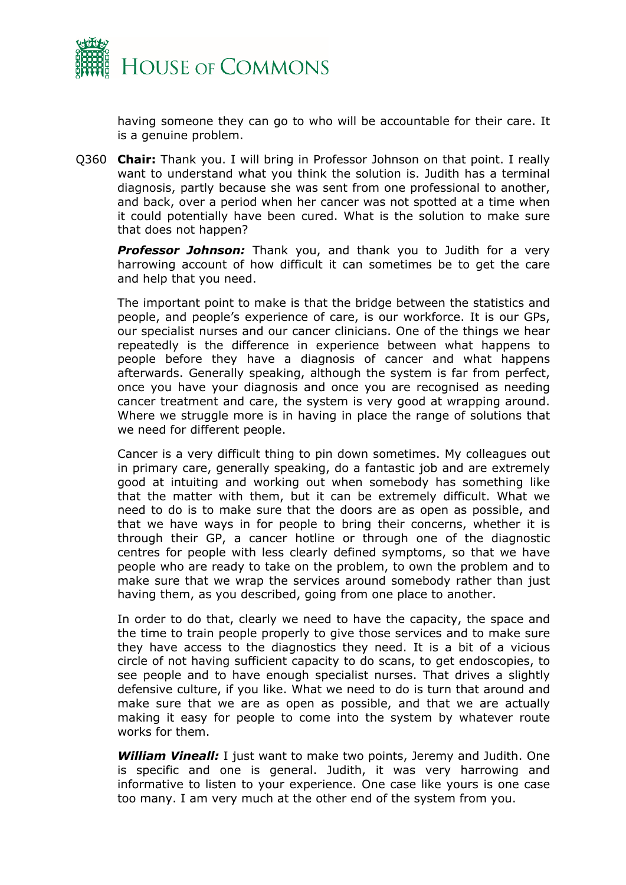

having someone they can go to who will be accountable for their care. It is a genuine problem.

Q360 **Chair:** Thank you. I will bring in Professor Johnson on that point. I really want to understand what you think the solution is. Judith has a terminal diagnosis, partly because she was sent from one professional to another, and back, over a period when her cancer was not spotted at a time when it could potentially have been cured. What is the solution to make sure that does not happen?

*Professor Johnson:* Thank you, and thank you to Judith for a very harrowing account of how difficult it can sometimes be to get the care and help that you need.

The important point to make is that the bridge between the statistics and people, and people's experience of care, is our workforce. It is our GPs, our specialist nurses and our cancer clinicians. One of the things we hear repeatedly is the difference in experience between what happens to people before they have a diagnosis of cancer and what happens afterwards. Generally speaking, although the system is far from perfect, once you have your diagnosis and once you are recognised as needing cancer treatment and care, the system is very good at wrapping around. Where we struggle more is in having in place the range of solutions that we need for different people.

Cancer is a very difficult thing to pin down sometimes. My colleagues out in primary care, generally speaking, do a fantastic job and are extremely good at intuiting and working out when somebody has something like that the matter with them, but it can be extremely difficult. What we need to do is to make sure that the doors are as open as possible, and that we have ways in for people to bring their concerns, whether it is through their GP, a cancer hotline or through one of the diagnostic centres for people with less clearly defined symptoms, so that we have people who are ready to take on the problem, to own the problem and to make sure that we wrap the services around somebody rather than just having them, as you described, going from one place to another.

In order to do that, clearly we need to have the capacity, the space and the time to train people properly to give those services and to make sure they have access to the diagnostics they need. It is a bit of a vicious circle of not having sufficient capacity to do scans, to get endoscopies, to see people and to have enough specialist nurses. That drives a slightly defensive culture, if you like. What we need to do is turn that around and make sure that we are as open as possible, and that we are actually making it easy for people to come into the system by whatever route works for them.

*William Vineall:* I just want to make two points, Jeremy and Judith. One is specific and one is general. Judith, it was very harrowing and informative to listen to your experience. One case like yours is one case too many. I am very much at the other end of the system from you.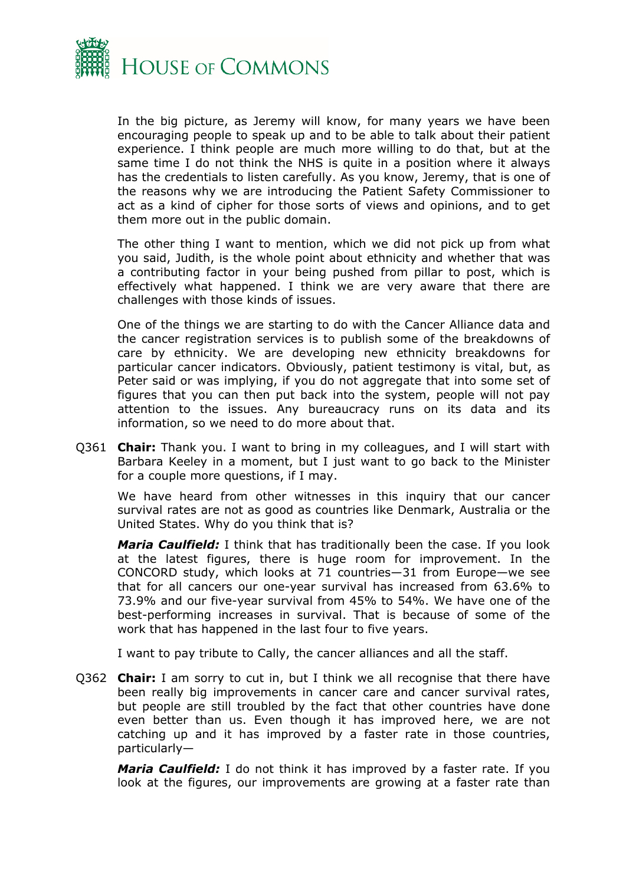

In the big picture, as Jeremy will know, for many years we have been encouraging people to speak up and to be able to talk about their patient experience. I think people are much more willing to do that, but at the same time I do not think the NHS is quite in a position where it always has the credentials to listen carefully. As you know, Jeremy, that is one of the reasons why we are introducing the Patient Safety Commissioner to act as a kind of cipher for those sorts of views and opinions, and to get them more out in the public domain.

The other thing I want to mention, which we did not pick up from what you said, Judith, is the whole point about ethnicity and whether that was a contributing factor in your being pushed from pillar to post, which is effectively what happened. I think we are very aware that there are challenges with those kinds of issues.

One of the things we are starting to do with the Cancer Alliance data and the cancer registration services is to publish some of the breakdowns of care by ethnicity. We are developing new ethnicity breakdowns for particular cancer indicators. Obviously, patient testimony is vital, but, as Peter said or was implying, if you do not aggregate that into some set of figures that you can then put back into the system, people will not pay attention to the issues. Any bureaucracy runs on its data and its information, so we need to do more about that.

Q361 **Chair:** Thank you. I want to bring in my colleagues, and I will start with Barbara Keeley in a moment, but I just want to go back to the Minister for a couple more questions, if I may.

We have heard from other witnesses in this inquiry that our cancer survival rates are not as good as countries like Denmark, Australia or the United States. Why do you think that is?

*Maria Caulfield:* I think that has traditionally been the case. If you look at the latest figures, there is huge room for improvement. In the CONCORD study, which looks at 71 countries—31 from Europe—we see that for all cancers our one-year survival has increased from 63.6% to 73.9% and our five-year survival from 45% to 54%. We have one of the best-performing increases in survival. That is because of some of the work that has happened in the last four to five years.

I want to pay tribute to Cally, the cancer alliances and all the staff.

Q362 **Chair:** I am sorry to cut in, but I think we all recognise that there have been really big improvements in cancer care and cancer survival rates, but people are still troubled by the fact that other countries have done even better than us. Even though it has improved here, we are not catching up and it has improved by a faster rate in those countries, particularly—

*Maria Caulfield:* I do not think it has improved by a faster rate. If you look at the figures, our improvements are growing at a faster rate than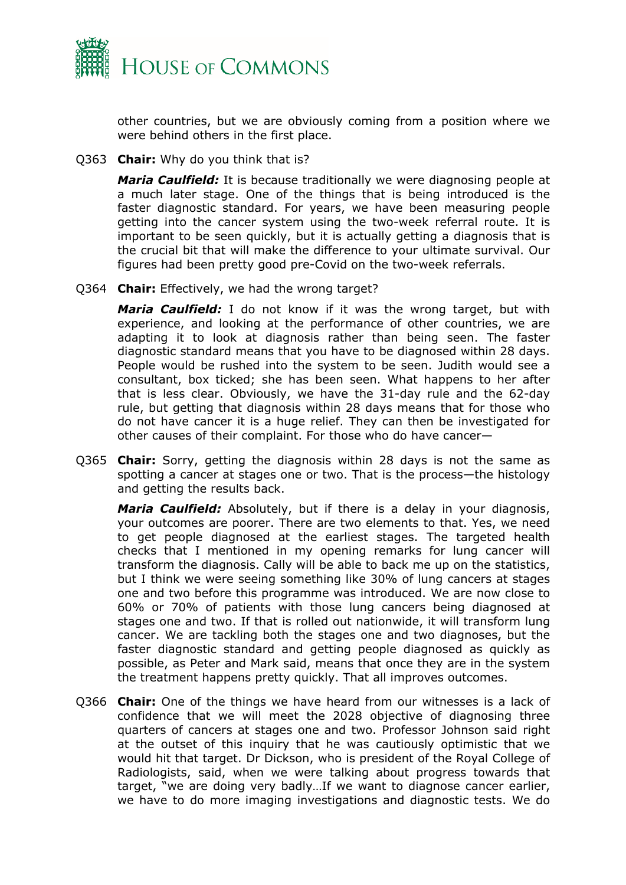

other countries, but we are obviously coming from a position where we were behind others in the first place.

Q363 **Chair:** Why do you think that is?

*Maria Caulfield:* It is because traditionally we were diagnosing people at a much later stage. One of the things that is being introduced is the faster diagnostic standard. For years, we have been measuring people getting into the cancer system using the two-week referral route. It is important to be seen quickly, but it is actually getting a diagnosis that is the crucial bit that will make the difference to your ultimate survival. Our figures had been pretty good pre-Covid on the two-week referrals.

Q364 **Chair:** Effectively, we had the wrong target?

*Maria Caulfield:* I do not know if it was the wrong target, but with experience, and looking at the performance of other countries, we are adapting it to look at diagnosis rather than being seen. The faster diagnostic standard means that you have to be diagnosed within 28 days. People would be rushed into the system to be seen. Judith would see a consultant, box ticked; she has been seen. What happens to her after that is less clear. Obviously, we have the 31-day rule and the 62-day rule, but getting that diagnosis within 28 days means that for those who do not have cancer it is a huge relief. They can then be investigated for other causes of their complaint. For those who do have cancer—

Q365 **Chair:** Sorry, getting the diagnosis within 28 days is not the same as spotting a cancer at stages one or two. That is the process—the histology and getting the results back.

*Maria Caulfield:* Absolutely, but if there is a delay in your diagnosis, your outcomes are poorer. There are two elements to that. Yes, we need to get people diagnosed at the earliest stages. The targeted health checks that I mentioned in my opening remarks for lung cancer will transform the diagnosis. Cally will be able to back me up on the statistics, but I think we were seeing something like 30% of lung cancers at stages one and two before this programme was introduced. We are now close to 60% or 70% of patients with those lung cancers being diagnosed at stages one and two. If that is rolled out nationwide, it will transform lung cancer. We are tackling both the stages one and two diagnoses, but the faster diagnostic standard and getting people diagnosed as quickly as possible, as Peter and Mark said, means that once they are in the system the treatment happens pretty quickly. That all improves outcomes.

Q366 **Chair:** One of the things we have heard from our witnesses is a lack of confidence that we will meet the 2028 objective of diagnosing three quarters of cancers at stages one and two. Professor Johnson said right at the outset of this inquiry that he was cautiously optimistic that we would hit that target. Dr Dickson, who is president of the Royal College of Radiologists, said, when we were talking about progress towards that target, "we are doing very badly…If we want to diagnose cancer earlier, we have to do more imaging investigations and diagnostic tests. We do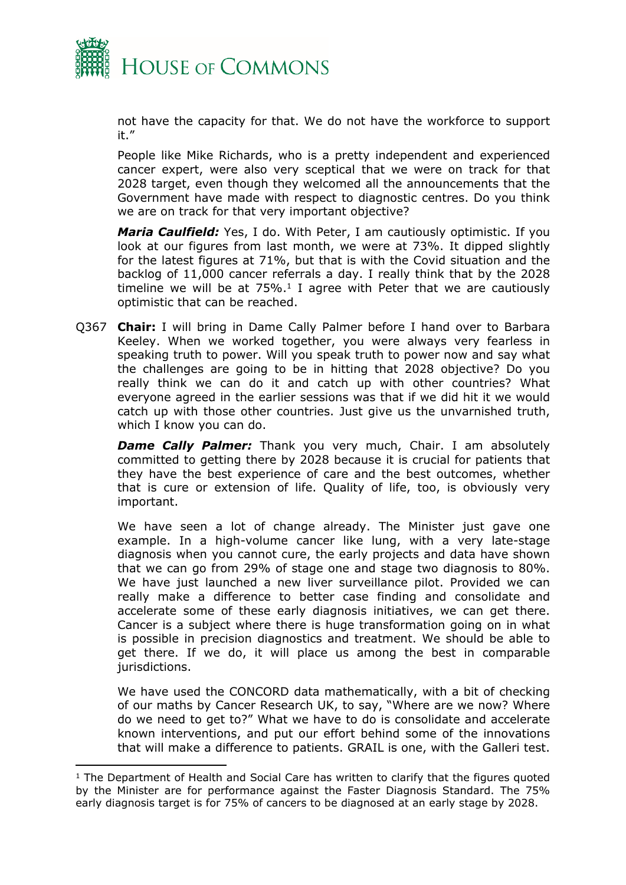

not have the capacity for that. We do not have the workforce to support it."

People like Mike Richards, who is a pretty independent and experienced cancer expert, were also very sceptical that we were on track for that 2028 target, even though they welcomed all the announcements that the Government have made with respect to diagnostic centres. Do you think we are on track for that very important objective?

*Maria Caulfield:* Yes, I do. With Peter, I am cautiously optimistic. If you look at our figures from last month, we were at 73%. It dipped slightly for the latest figures at 71%, but that is with the Covid situation and the backlog of 11,000 cancer referrals a day. I really think that by the 2028 timeline we will be at  $75\%$ .<sup>1</sup> I agree with Peter that we are cautiously optimistic that can be reached.

Q367 **Chair:** I will bring in Dame Cally Palmer before I hand over to Barbara Keeley. When we worked together, you were always very fearless in speaking truth to power. Will you speak truth to power now and say what the challenges are going to be in hitting that 2028 objective? Do you really think we can do it and catch up with other countries? What everyone agreed in the earlier sessions was that if we did hit it we would catch up with those other countries. Just give us the unvarnished truth, which I know you can do.

**Dame Cally Palmer:** Thank you very much, Chair. I am absolutely committed to getting there by 2028 because it is crucial for patients that they have the best experience of care and the best outcomes, whether that is cure or extension of life. Quality of life, too, is obviously very important.

We have seen a lot of change already. The Minister just gave one example. In a high-volume cancer like lung, with a very late-stage diagnosis when you cannot cure, the early projects and data have shown that we can go from 29% of stage one and stage two diagnosis to 80%. We have just launched a new liver surveillance pilot. Provided we can really make a difference to better case finding and consolidate and accelerate some of these early diagnosis initiatives, we can get there. Cancer is a subject where there is huge transformation going on in what is possible in precision diagnostics and treatment. We should be able to get there. If we do, it will place us among the best in comparable jurisdictions.

We have used the CONCORD data mathematically, with a bit of checking of our maths by Cancer Research UK, to say, "Where are we now? Where do we need to get to?" What we have to do is consolidate and accelerate known interventions, and put our effort behind some of the innovations that will make a difference to patients. GRAIL is one, with the Galleri test.

 $1$  The Department of Health and Social Care has written to clarify that the figures quoted by the Minister are for performance against the Faster Diagnosis Standard. The 75% early diagnosis target is for 75% of cancers to be diagnosed at an early stage by 2028.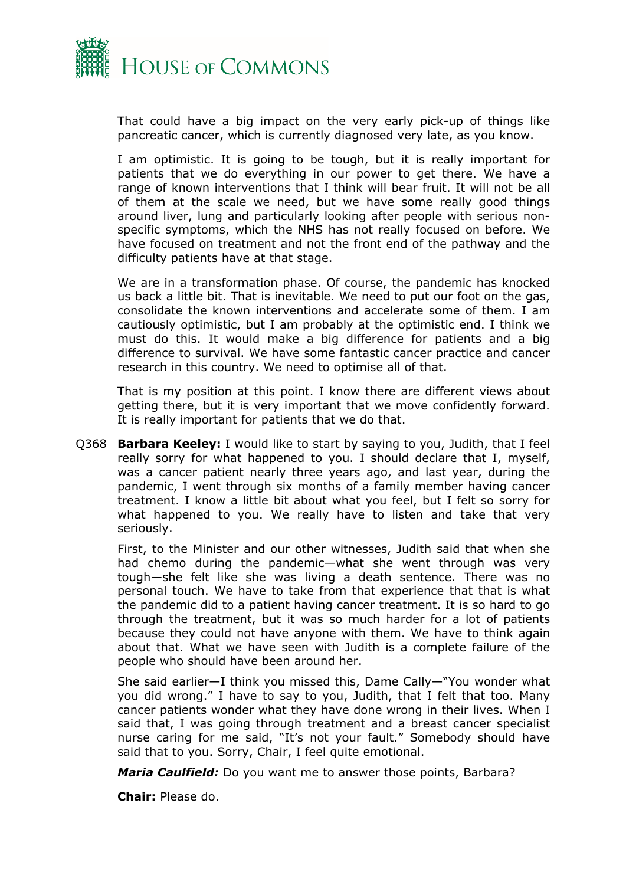

That could have a big impact on the very early pick-up of things like pancreatic cancer, which is currently diagnosed very late, as you know.

I am optimistic. It is going to be tough, but it is really important for patients that we do everything in our power to get there. We have a range of known interventions that I think will bear fruit. It will not be all of them at the scale we need, but we have some really good things around liver, lung and particularly looking after people with serious nonspecific symptoms, which the NHS has not really focused on before. We have focused on treatment and not the front end of the pathway and the difficulty patients have at that stage.

We are in a transformation phase. Of course, the pandemic has knocked us back a little bit. That is inevitable. We need to put our foot on the gas, consolidate the known interventions and accelerate some of them. I am cautiously optimistic, but I am probably at the optimistic end. I think we must do this. It would make a big difference for patients and a big difference to survival. We have some fantastic cancer practice and cancer research in this country. We need to optimise all of that.

That is my position at this point. I know there are different views about getting there, but it is very important that we move confidently forward. It is really important for patients that we do that.

Q368 **Barbara Keeley:** I would like to start by saying to you, Judith, that I feel really sorry for what happened to you. I should declare that I, myself, was a cancer patient nearly three years ago, and last year, during the pandemic, I went through six months of a family member having cancer treatment. I know a little bit about what you feel, but I felt so sorry for what happened to you. We really have to listen and take that very seriously.

First, to the Minister and our other witnesses, Judith said that when she had chemo during the pandemic—what she went through was very tough—she felt like she was living a death sentence. There was no personal touch. We have to take from that experience that that is what the pandemic did to a patient having cancer treatment. It is so hard to go through the treatment, but it was so much harder for a lot of patients because they could not have anyone with them. We have to think again about that. What we have seen with Judith is a complete failure of the people who should have been around her.

She said earlier—I think you missed this, Dame Cally—"You wonder what you did wrong." I have to say to you, Judith, that I felt that too. Many cancer patients wonder what they have done wrong in their lives. When I said that, I was going through treatment and a breast cancer specialist nurse caring for me said, "It's not your fault." Somebody should have said that to you. Sorry, Chair, I feel quite emotional.

*Maria Caulfield:* Do you want me to answer those points, Barbara?

**Chair:** Please do.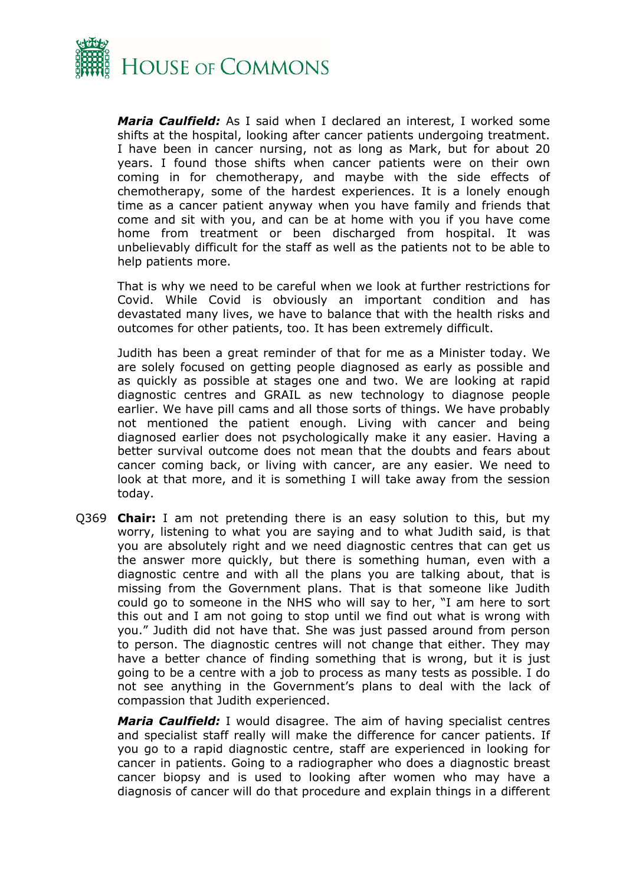

*Maria Caulfield:* As I said when I declared an interest, I worked some shifts at the hospital, looking after cancer patients undergoing treatment. I have been in cancer nursing, not as long as Mark, but for about 20 years. I found those shifts when cancer patients were on their own coming in for chemotherapy, and maybe with the side effects of chemotherapy, some of the hardest experiences. It is a lonely enough time as a cancer patient anyway when you have family and friends that come and sit with you, and can be at home with you if you have come home from treatment or been discharged from hospital. It was unbelievably difficult for the staff as well as the patients not to be able to help patients more.

That is why we need to be careful when we look at further restrictions for Covid. While Covid is obviously an important condition and has devastated many lives, we have to balance that with the health risks and outcomes for other patients, too. It has been extremely difficult.

Judith has been a great reminder of that for me as a Minister today. We are solely focused on getting people diagnosed as early as possible and as quickly as possible at stages one and two. We are looking at rapid diagnostic centres and GRAIL as new technology to diagnose people earlier. We have pill cams and all those sorts of things. We have probably not mentioned the patient enough. Living with cancer and being diagnosed earlier does not psychologically make it any easier. Having a better survival outcome does not mean that the doubts and fears about cancer coming back, or living with cancer, are any easier. We need to look at that more, and it is something I will take away from the session today.

Q369 **Chair:** I am not pretending there is an easy solution to this, but my worry, listening to what you are saying and to what Judith said, is that you are absolutely right and we need diagnostic centres that can get us the answer more quickly, but there is something human, even with a diagnostic centre and with all the plans you are talking about, that is missing from the Government plans. That is that someone like Judith could go to someone in the NHS who will say to her, "I am here to sort this out and I am not going to stop until we find out what is wrong with you." Judith did not have that. She was just passed around from person to person. The diagnostic centres will not change that either. They may have a better chance of finding something that is wrong, but it is just going to be a centre with a job to process as many tests as possible. I do not see anything in the Government's plans to deal with the lack of compassion that Judith experienced.

*Maria Caulfield:* I would disagree. The aim of having specialist centres and specialist staff really will make the difference for cancer patients. If you go to a rapid diagnostic centre, staff are experienced in looking for cancer in patients. Going to a radiographer who does a diagnostic breast cancer biopsy and is used to looking after women who may have a diagnosis of cancer will do that procedure and explain things in a different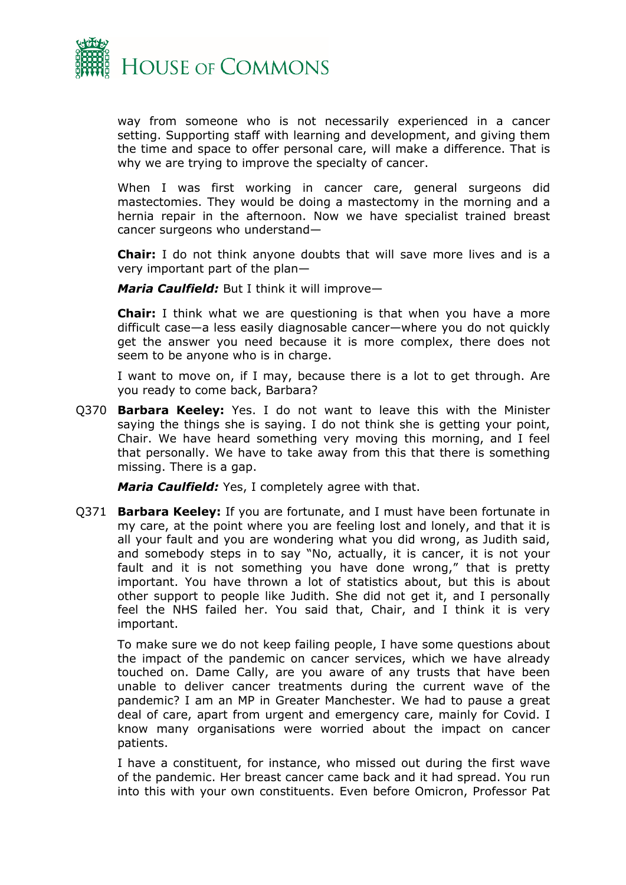

way from someone who is not necessarily experienced in a cancer setting. Supporting staff with learning and development, and giving them the time and space to offer personal care, will make a difference. That is why we are trying to improve the specialty of cancer.

When I was first working in cancer care, general surgeons did mastectomies. They would be doing a mastectomy in the morning and a hernia repair in the afternoon. Now we have specialist trained breast cancer surgeons who understand—

**Chair:** I do not think anyone doubts that will save more lives and is a very important part of the plan—

*Maria Caulfield:* But I think it will improve—

**Chair:** I think what we are questioning is that when you have a more difficult case—a less easily diagnosable cancer—where you do not quickly get the answer you need because it is more complex, there does not seem to be anyone who is in charge.

I want to move on, if I may, because there is a lot to get through. Are you ready to come back, Barbara?

Q370 **Barbara Keeley:** Yes. I do not want to leave this with the Minister saying the things she is saying. I do not think she is getting your point, Chair. We have heard something very moving this morning, and I feel that personally. We have to take away from this that there is something missing. There is a gap.

*Maria Caulfield:* Yes, I completely agree with that.

Q371 **Barbara Keeley:** If you are fortunate, and I must have been fortunate in my care, at the point where you are feeling lost and lonely, and that it is all your fault and you are wondering what you did wrong, as Judith said, and somebody steps in to say "No, actually, it is cancer, it is not your fault and it is not something you have done wrong," that is pretty important. You have thrown a lot of statistics about, but this is about other support to people like Judith. She did not get it, and I personally feel the NHS failed her. You said that, Chair, and I think it is very important.

To make sure we do not keep failing people, I have some questions about the impact of the pandemic on cancer services, which we have already touched on. Dame Cally, are you aware of any trusts that have been unable to deliver cancer treatments during the current wave of the pandemic? I am an MP in Greater Manchester. We had to pause a great deal of care, apart from urgent and emergency care, mainly for Covid. I know many organisations were worried about the impact on cancer patients.

I have a constituent, for instance, who missed out during the first wave of the pandemic. Her breast cancer came back and it had spread. You run into this with your own constituents. Even before Omicron, Professor Pat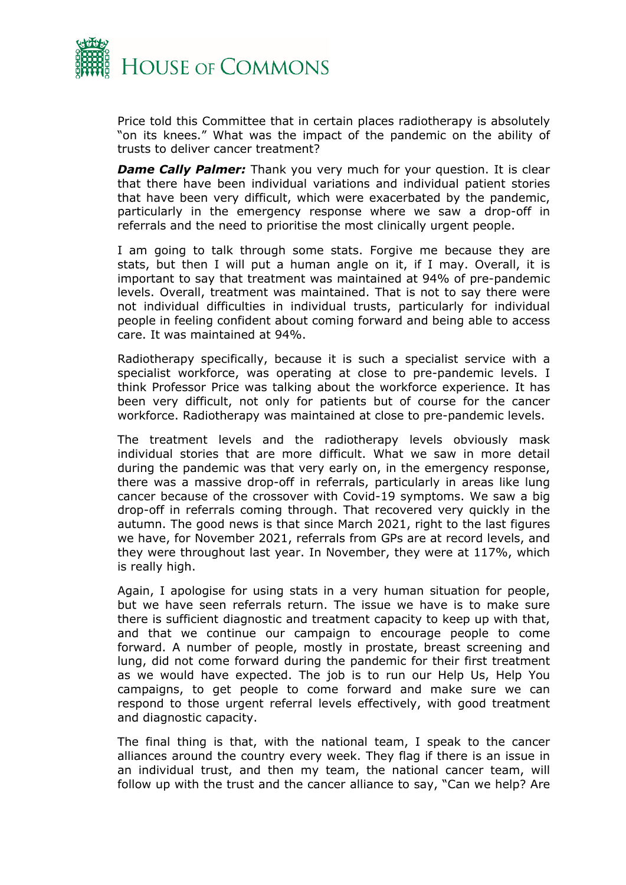

Price told this Committee that in certain places radiotherapy is absolutely "on its knees." What was the impact of the pandemic on the ability of trusts to deliver cancer treatment?

*Dame Cally Palmer:* Thank you very much for your question. It is clear that there have been individual variations and individual patient stories that have been very difficult, which were exacerbated by the pandemic, particularly in the emergency response where we saw a drop-off in referrals and the need to prioritise the most clinically urgent people.

I am going to talk through some stats. Forgive me because they are stats, but then I will put a human angle on it, if I may. Overall, it is important to say that treatment was maintained at 94% of pre-pandemic levels. Overall, treatment was maintained. That is not to say there were not individual difficulties in individual trusts, particularly for individual people in feeling confident about coming forward and being able to access care. It was maintained at 94%.

Radiotherapy specifically, because it is such a specialist service with a specialist workforce, was operating at close to pre-pandemic levels. I think Professor Price was talking about the workforce experience. It has been very difficult, not only for patients but of course for the cancer workforce. Radiotherapy was maintained at close to pre-pandemic levels.

The treatment levels and the radiotherapy levels obviously mask individual stories that are more difficult. What we saw in more detail during the pandemic was that very early on, in the emergency response, there was a massive drop-off in referrals, particularly in areas like lung cancer because of the crossover with Covid-19 symptoms. We saw a big drop-off in referrals coming through. That recovered very quickly in the autumn. The good news is that since March 2021, right to the last figures we have, for November 2021, referrals from GPs are at record levels, and they were throughout last year. In November, they were at 117%, which is really high.

Again, I apologise for using stats in a very human situation for people, but we have seen referrals return. The issue we have is to make sure there is sufficient diagnostic and treatment capacity to keep up with that, and that we continue our campaign to encourage people to come forward. A number of people, mostly in prostate, breast screening and lung, did not come forward during the pandemic for their first treatment as we would have expected. The job is to run our Help Us, Help You campaigns, to get people to come forward and make sure we can respond to those urgent referral levels effectively, with good treatment and diagnostic capacity.

The final thing is that, with the national team, I speak to the cancer alliances around the country every week. They flag if there is an issue in an individual trust, and then my team, the national cancer team, will follow up with the trust and the cancer alliance to say, "Can we help? Are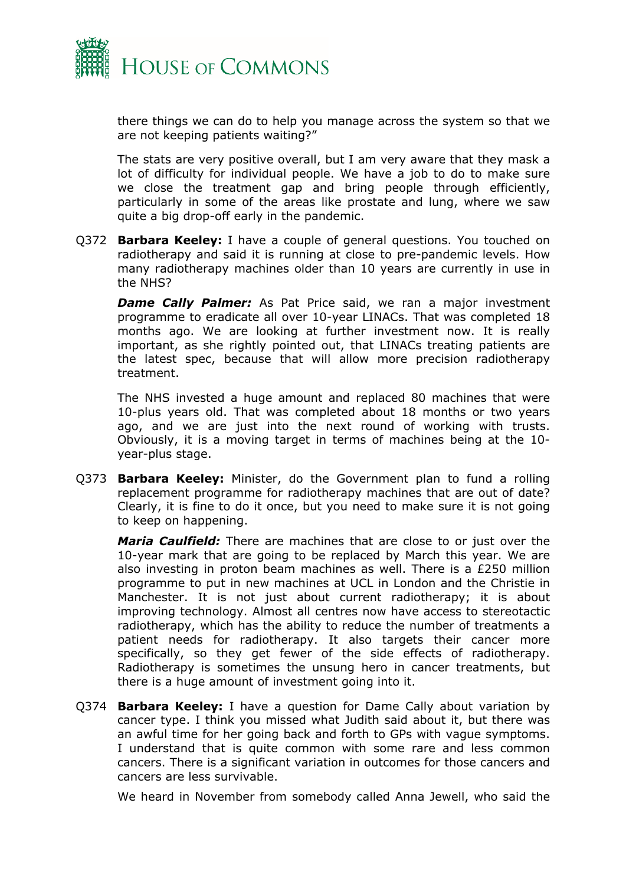

there things we can do to help you manage across the system so that we are not keeping patients waiting?"

The stats are very positive overall, but I am very aware that they mask a lot of difficulty for individual people. We have a job to do to make sure we close the treatment gap and bring people through efficiently, particularly in some of the areas like prostate and lung, where we saw quite a big drop-off early in the pandemic.

Q372 **Barbara Keeley:** I have a couple of general questions. You touched on radiotherapy and said it is running at close to pre-pandemic levels. How many radiotherapy machines older than 10 years are currently in use in the NHS?

**Dame Cally Palmer:** As Pat Price said, we ran a major investment programme to eradicate all over 10-year LINACs. That was completed 18 months ago. We are looking at further investment now. It is really important, as she rightly pointed out, that LINACs treating patients are the latest spec, because that will allow more precision radiotherapy treatment.

The NHS invested a huge amount and replaced 80 machines that were 10-plus years old. That was completed about 18 months or two years ago, and we are just into the next round of working with trusts. Obviously, it is a moving target in terms of machines being at the 10 year-plus stage.

Q373 **Barbara Keeley:** Minister, do the Government plan to fund a rolling replacement programme for radiotherapy machines that are out of date? Clearly, it is fine to do it once, but you need to make sure it is not going to keep on happening.

*Maria Caulfield:* There are machines that are close to or just over the 10-year mark that are going to be replaced by March this year. We are also investing in proton beam machines as well. There is a £250 million programme to put in new machines at UCL in London and the Christie in Manchester. It is not just about current radiotherapy; it is about improving technology. Almost all centres now have access to stereotactic radiotherapy, which has the ability to reduce the number of treatments a patient needs for radiotherapy. It also targets their cancer more specifically, so they get fewer of the side effects of radiotherapy. Radiotherapy is sometimes the unsung hero in cancer treatments, but there is a huge amount of investment going into it.

Q374 **Barbara Keeley:** I have a question for Dame Cally about variation by cancer type. I think you missed what Judith said about it, but there was an awful time for her going back and forth to GPs with vague symptoms. I understand that is quite common with some rare and less common cancers. There is a significant variation in outcomes for those cancers and cancers are less survivable.

We heard in November from somebody called Anna Jewell, who said the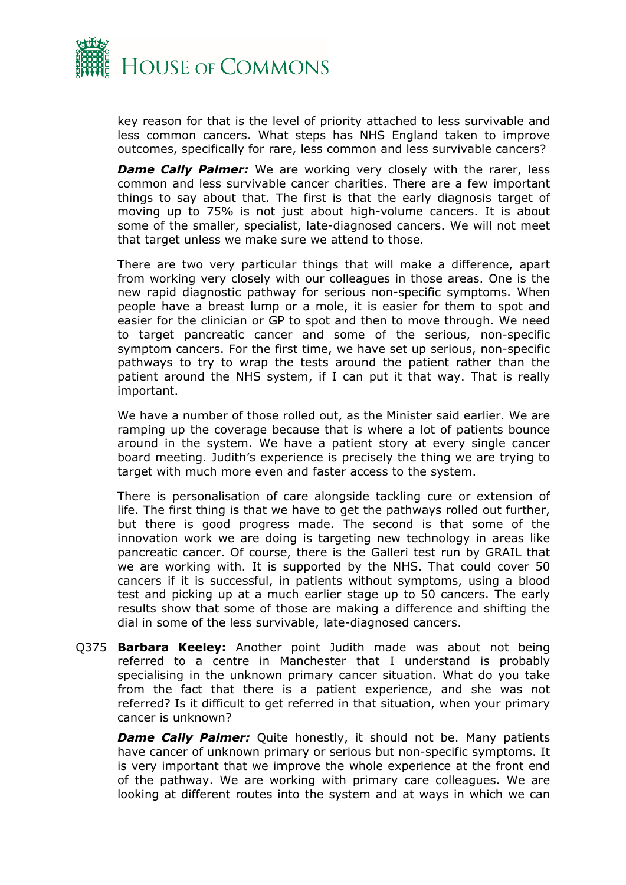

key reason for that is the level of priority attached to less survivable and less common cancers. What steps has NHS England taken to improve outcomes, specifically for rare, less common and less survivable cancers?

*Dame Cally Palmer:* We are working very closely with the rarer, less common and less survivable cancer charities. There are a few important things to say about that. The first is that the early diagnosis target of moving up to 75% is not just about high-volume cancers. It is about some of the smaller, specialist, late-diagnosed cancers. We will not meet that target unless we make sure we attend to those.

There are two very particular things that will make a difference, apart from working very closely with our colleagues in those areas. One is the new rapid diagnostic pathway for serious non-specific symptoms. When people have a breast lump or a mole, it is easier for them to spot and easier for the clinician or GP to spot and then to move through. We need to target pancreatic cancer and some of the serious, non-specific symptom cancers. For the first time, we have set up serious, non-specific pathways to try to wrap the tests around the patient rather than the patient around the NHS system, if I can put it that way. That is really important.

We have a number of those rolled out, as the Minister said earlier. We are ramping up the coverage because that is where a lot of patients bounce around in the system. We have a patient story at every single cancer board meeting. Judith's experience is precisely the thing we are trying to target with much more even and faster access to the system.

There is personalisation of care alongside tackling cure or extension of life. The first thing is that we have to get the pathways rolled out further, but there is good progress made. The second is that some of the innovation work we are doing is targeting new technology in areas like pancreatic cancer. Of course, there is the Galleri test run by GRAIL that we are working with. It is supported by the NHS. That could cover 50 cancers if it is successful, in patients without symptoms, using a blood test and picking up at a much earlier stage up to 50 cancers. The early results show that some of those are making a difference and shifting the dial in some of the less survivable, late-diagnosed cancers.

Q375 **Barbara Keeley:** Another point Judith made was about not being referred to a centre in Manchester that I understand is probably specialising in the unknown primary cancer situation. What do you take from the fact that there is a patient experience, and she was not referred? Is it difficult to get referred in that situation, when your primary cancer is unknown?

**Dame Cally Palmer:** Quite honestly, it should not be. Many patients have cancer of unknown primary or serious but non-specific symptoms. It is very important that we improve the whole experience at the front end of the pathway. We are working with primary care colleagues. We are looking at different routes into the system and at ways in which we can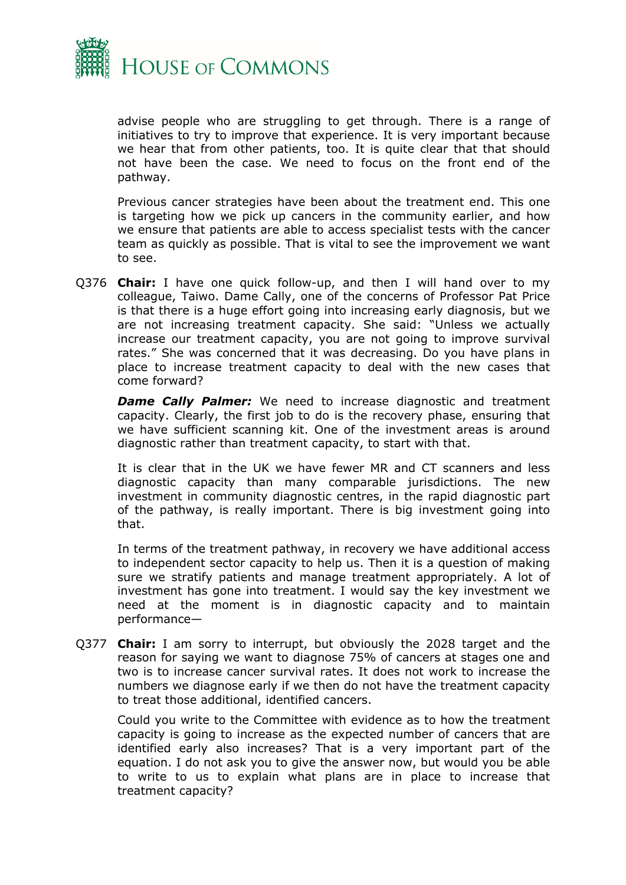

advise people who are struggling to get through. There is a range of initiatives to try to improve that experience. It is very important because we hear that from other patients, too. It is quite clear that that should not have been the case. We need to focus on the front end of the pathway.

Previous cancer strategies have been about the treatment end. This one is targeting how we pick up cancers in the community earlier, and how we ensure that patients are able to access specialist tests with the cancer team as quickly as possible. That is vital to see the improvement we want to see.

Q376 **Chair:** I have one quick follow-up, and then I will hand over to my colleague, Taiwo. Dame Cally, one of the concerns of Professor Pat Price is that there is a huge effort going into increasing early diagnosis, but we are not increasing treatment capacity. She said: "Unless we actually increase our treatment capacity, you are not going to improve survival rates." She was concerned that it was decreasing. Do you have plans in place to increase treatment capacity to deal with the new cases that come forward?

*Dame Cally Palmer:* We need to increase diagnostic and treatment capacity. Clearly, the first job to do is the recovery phase, ensuring that we have sufficient scanning kit. One of the investment areas is around diagnostic rather than treatment capacity, to start with that.

It is clear that in the UK we have fewer MR and CT scanners and less diagnostic capacity than many comparable jurisdictions. The new investment in community diagnostic centres, in the rapid diagnostic part of the pathway, is really important. There is big investment going into that.

In terms of the treatment pathway, in recovery we have additional access to independent sector capacity to help us. Then it is a question of making sure we stratify patients and manage treatment appropriately. A lot of investment has gone into treatment. I would say the key investment we need at the moment is in diagnostic capacity and to maintain performance—

Q377 **Chair:** I am sorry to interrupt, but obviously the 2028 target and the reason for saying we want to diagnose 75% of cancers at stages one and two is to increase cancer survival rates. It does not work to increase the numbers we diagnose early if we then do not have the treatment capacity to treat those additional, identified cancers.

Could you write to the Committee with evidence as to how the treatment capacity is going to increase as the expected number of cancers that are identified early also increases? That is a very important part of the equation. I do not ask you to give the answer now, but would you be able to write to us to explain what plans are in place to increase that treatment capacity?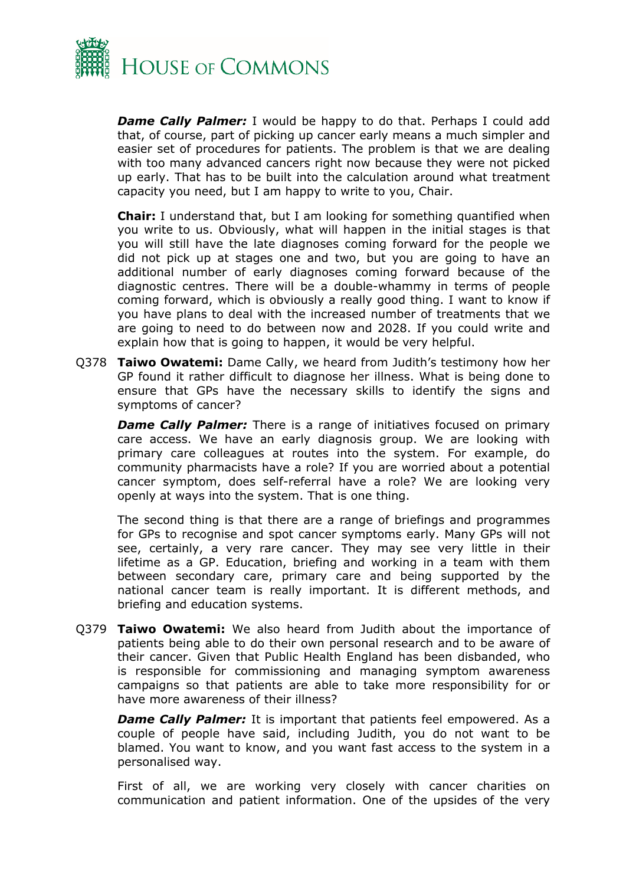

**Dame Cally Palmer:** I would be happy to do that. Perhaps I could add that, of course, part of picking up cancer early means a much simpler and easier set of procedures for patients. The problem is that we are dealing with too many advanced cancers right now because they were not picked up early. That has to be built into the calculation around what treatment capacity you need, but I am happy to write to you, Chair.

**Chair:** I understand that, but I am looking for something quantified when you write to us. Obviously, what will happen in the initial stages is that you will still have the late diagnoses coming forward for the people we did not pick up at stages one and two, but you are going to have an additional number of early diagnoses coming forward because of the diagnostic centres. There will be a double-whammy in terms of people coming forward, which is obviously a really good thing. I want to know if you have plans to deal with the increased number of treatments that we are going to need to do between now and 2028. If you could write and explain how that is going to happen, it would be very helpful.

Q378 **Taiwo Owatemi:** Dame Cally, we heard from Judith's testimony how her GP found it rather difficult to diagnose her illness. What is being done to ensure that GPs have the necessary skills to identify the signs and symptoms of cancer?

**Dame Cally Palmer:** There is a range of initiatives focused on primary care access. We have an early diagnosis group. We are looking with primary care colleagues at routes into the system. For example, do community pharmacists have a role? If you are worried about a potential cancer symptom, does self-referral have a role? We are looking very openly at ways into the system. That is one thing.

The second thing is that there are a range of briefings and programmes for GPs to recognise and spot cancer symptoms early. Many GPs will not see, certainly, a very rare cancer. They may see very little in their lifetime as a GP. Education, briefing and working in a team with them between secondary care, primary care and being supported by the national cancer team is really important. It is different methods, and briefing and education systems.

Q379 **Taiwo Owatemi:** We also heard from Judith about the importance of patients being able to do their own personal research and to be aware of their cancer. Given that Public Health England has been disbanded, who is responsible for commissioning and managing symptom awareness campaigns so that patients are able to take more responsibility for or have more awareness of their illness?

*Dame Cally Palmer:* It is important that patients feel empowered. As a couple of people have said, including Judith, you do not want to be blamed. You want to know, and you want fast access to the system in a personalised way.

First of all, we are working very closely with cancer charities on communication and patient information. One of the upsides of the very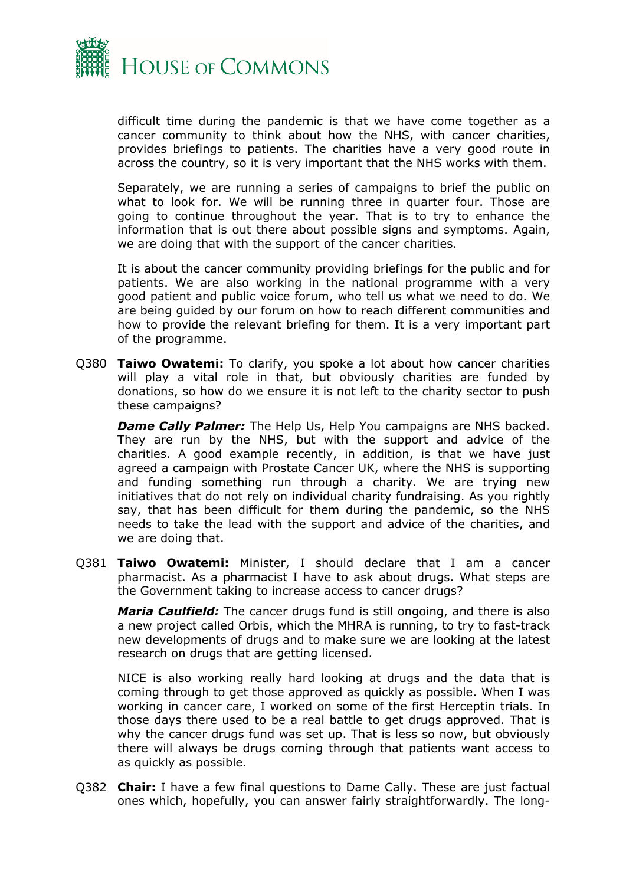

difficult time during the pandemic is that we have come together as a cancer community to think about how the NHS, with cancer charities, provides briefings to patients. The charities have a very good route in across the country, so it is very important that the NHS works with them.

Separately, we are running a series of campaigns to brief the public on what to look for. We will be running three in quarter four. Those are going to continue throughout the year. That is to try to enhance the information that is out there about possible signs and symptoms. Again, we are doing that with the support of the cancer charities.

It is about the cancer community providing briefings for the public and for patients. We are also working in the national programme with a very good patient and public voice forum, who tell us what we need to do. We are being guided by our forum on how to reach different communities and how to provide the relevant briefing for them. It is a very important part of the programme.

Q380 **Taiwo Owatemi:** To clarify, you spoke a lot about how cancer charities will play a vital role in that, but obviously charities are funded by donations, so how do we ensure it is not left to the charity sector to push these campaigns?

*Dame Cally Palmer:* The Help Us, Help You campaigns are NHS backed. They are run by the NHS, but with the support and advice of the charities. A good example recently, in addition, is that we have just agreed a campaign with Prostate Cancer UK, where the NHS is supporting and funding something run through a charity. We are trying new initiatives that do not rely on individual charity fundraising. As you rightly say, that has been difficult for them during the pandemic, so the NHS needs to take the lead with the support and advice of the charities, and we are doing that.

Q381 **Taiwo Owatemi:** Minister, I should declare that I am a cancer pharmacist. As a pharmacist I have to ask about drugs. What steps are the Government taking to increase access to cancer drugs?

*Maria Caulfield:* The cancer drugs fund is still ongoing, and there is also a new project called Orbis, which the MHRA is running, to try to fast-track new developments of drugs and to make sure we are looking at the latest research on drugs that are getting licensed.

NICE is also working really hard looking at drugs and the data that is coming through to get those approved as quickly as possible. When I was working in cancer care, I worked on some of the first Herceptin trials. In those days there used to be a real battle to get drugs approved. That is why the cancer drugs fund was set up. That is less so now, but obviously there will always be drugs coming through that patients want access to as quickly as possible.

Q382 **Chair:** I have a few final questions to Dame Cally. These are just factual ones which, hopefully, you can answer fairly straightforwardly. The long-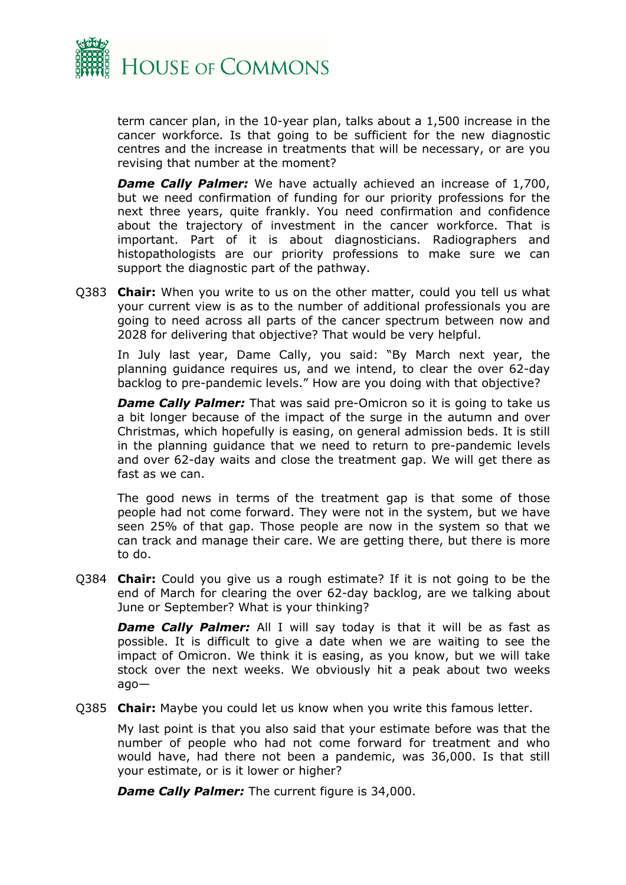

term cancer plan, in the 10-year plan, talks about a 1,500 increase in the cancer workforce. Is that going to be sufficient for the new diagnostic centres and the increase in treatments that will be necessary, or are you revising that number at the moment?

*Dame Cally Palmer:* We have actually achieved an increase of 1,700, but we need confirmation of funding for our priority professions for the next three years, quite frankly. You need confirmation and confidence about the trajectory of investment in the cancer workforce. That is important. Part of it is about diagnosticians. Radiographers and histopathologists are our priority professions to make sure we can support the diagnostic part of the pathway.

Q383 **Chair:** When you write to us on the other matter, could you tell us what your current view is as to the number of additional professionals you are going to need across all parts of the cancer spectrum between now and 2028 for delivering that objective? That would be very helpful.

In July last year, Dame Cally, you said: "By March next year, the planning guidance requires us, and we intend, to clear the over 62-day backlog to pre-pandemic levels." How are you doing with that objective?

*Dame Cally Palmer:* That was said pre-Omicron so it is going to take us a bit longer because of the impact of the surge in the autumn and over Christmas, which hopefully is easing, on general admission beds. It is still in the planning guidance that we need to return to pre-pandemic levels and over 62-day waits and close the treatment gap. We will get there as fast as we can.

The good news in terms of the treatment gap is that some of those people had not come forward. They were not in the system, but we have seen 25% of that gap. Those people are now in the system so that we can track and manage their care. We are getting there, but there is more to do.

Q384 **Chair:** Could you give us a rough estimate? If it is not going to be the end of March for clearing the over 62-day backlog, are we talking about June or September? What is your thinking?

*Dame Cally Palmer:* All I will say today is that it will be as fast as possible. It is difficult to give a date when we are waiting to see the impact of Omicron. We think it is easing, as you know, but we will take stock over the next weeks. We obviously hit a peak about two weeks ago—

Q385 **Chair:** Maybe you could let us know when you write this famous letter.

My last point is that you also said that your estimate before was that the number of people who had not come forward for treatment and who would have, had there not been a pandemic, was 36,000. Is that still your estimate, or is it lower or higher?

*Dame Cally Palmer:* The current figure is 34,000.